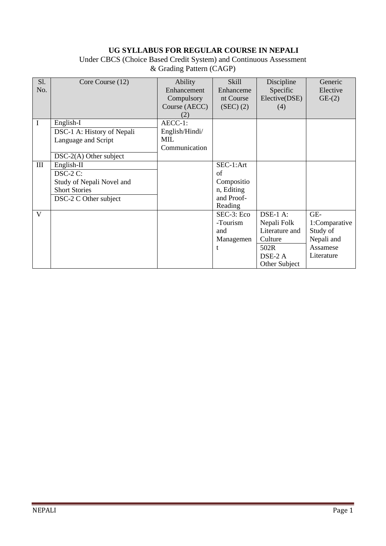## **UG SYLLABUS FOR REGULAR COURSE IN NEPALI**

Under CBCS (Choice Based Credit System) and Continuous Assessment & Grading Pattern (CAGP)

| S1.         | Core Course (12)           | Ability        | <b>Skill</b> | Discipline     | Generic       |
|-------------|----------------------------|----------------|--------------|----------------|---------------|
| No.         |                            | Enhancement    | Enhanceme    | Specific       | Elective      |
|             |                            | Compulsory     | nt Course    | Elective(DSE)  | $GE-(2)$      |
|             |                            | Course (AECC)  | (SEC) (2)    | (4)            |               |
|             |                            | (2)            |              |                |               |
| $\mathbf I$ | English-I                  | AECC-1:        |              |                |               |
|             | DSC-1 A: History of Nepali | English/Hindi/ |              |                |               |
|             | Language and Script        | MIL            |              |                |               |
|             |                            | Communication  |              |                |               |
|             | $DSC-2(A)$ Other subject   |                |              |                |               |
| III         | $English-II$               |                | SEC-1:Art    |                |               |
|             | DSC-2 C:                   |                | of           |                |               |
|             | Study of Nepali Novel and  |                | Compositio   |                |               |
|             | <b>Short Stories</b>       |                | n, Editing   |                |               |
|             | DSC-2 C Other subject      |                | and Proof-   |                |               |
|             |                            |                | Reading      |                |               |
| V           |                            |                | SEC-3: Eco   | $DSE-1$ A:     | GE-           |
|             |                            |                | -Tourism     | Nepali Folk    | 1:Comparative |
|             |                            |                | and          | Literature and | Study of      |
|             |                            |                | Managemen    | Culture        | Nepali and    |
|             |                            |                | $\mathbf t$  | 502R           | Assamese      |
|             |                            |                |              | DSE-2 A        | Literature    |
|             |                            |                |              | Other Subject  |               |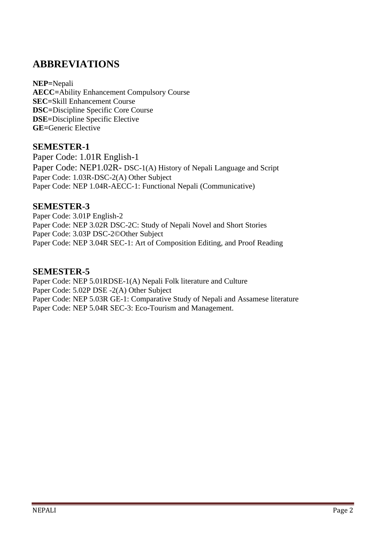# **ABBREVIATIONS**

**NEP=**Nepali **AECC=**Ability Enhancement Compulsory Course **SEC=**Skill Enhancement Course **DSC=**Discipline Specific Core Course **DSE=**Discipline Specific Elective **GE=**Generic Elective

#### **SEMESTER-1**

Paper Code: 1.01R English-1 Paper Code: NEP1.02R- DSC-1(A) History of Nepali Language and Script Paper Code: 1.03R-DSC-2(A) Other Subject Paper Code: NEP 1.04R-AECC-1: Functional Nepali (Communicative)

#### **SEMESTER-3**

Paper Code: 3.01P English-2 Paper Code: NEP 3.02R DSC-2C: Study of Nepali Novel and Short Stories Paper Code: 3.03P DSC-2©Other Subject Paper Code: NEP 3.04R SEC-1: Art of Composition Editing, and Proof Reading

#### **SEMESTER-5**

Paper Code: NEP 5.01RDSE-1(A) Nepali Folk literature and Culture Paper Code: 5.02P DSE -2(A) Other Subject Paper Code: NEP 5.03R GE-1: Comparative Study of Nepali and Assamese literature Paper Code: NEP 5.04R SEC-3: Eco-Tourism and Management.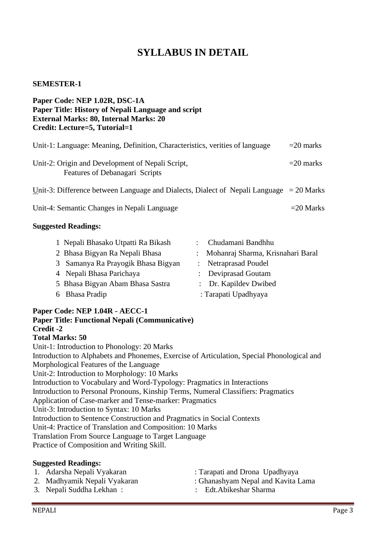# **SYLLABUS IN DETAIL**

#### **SEMESTER-1**

| Paper Code: NEP 1.02R, DSC-1A<br>Paper Title: History of Nepali Language and script<br><b>External Marks: 80, Internal Marks: 20</b><br>Credit: Lecture=5, Tutorial=1                                                                                                                                                                                                                                                        |             |
|------------------------------------------------------------------------------------------------------------------------------------------------------------------------------------------------------------------------------------------------------------------------------------------------------------------------------------------------------------------------------------------------------------------------------|-------------|
| Unit-1: Language: Meaning, Definition, Characteristics, verities of language                                                                                                                                                                                                                                                                                                                                                 | $=20$ marks |
| Unit-2: Origin and Development of Nepali Script,<br>Features of Debanagari Scripts                                                                                                                                                                                                                                                                                                                                           | $=20$ marks |
| Unit-3: Difference between Language and Dialects, Dialect of Nepali Language $= 20$ Marks                                                                                                                                                                                                                                                                                                                                    |             |
| Unit-4: Semantic Changes in Nepali Language                                                                                                                                                                                                                                                                                                                                                                                  | $=20$ Marks |
| <b>Suggested Readings:</b>                                                                                                                                                                                                                                                                                                                                                                                                   |             |
| Chudamani Bandhhu<br>1 Nepali Bhasako Utpatti Ra Bikash<br>2 Bhasa Bigyan Ra Nepali Bhasa<br>Mohanraj Sharma, Krisnahari Baral<br>Samanya Ra Prayogik Bhasa Bigyan<br>Netraprasad Poudel<br>3<br>4 Nepali Bhasa Parichaya<br>Deviprasad Goutam<br>$\mathbb{R}^{\mathbb{Z}}$<br>5 Bhasa Bigyan Abam Bhasa Sastra<br>Dr. Kapildev Dwibed<br><b>Bhasa Pradip</b><br>: Tarapati Upadhyaya<br>6<br>Paper Code: NEP 1.04R - AECC-1 |             |

# **Paper Title: Functional Nepali (Communicative) Credit -2**

**Total Marks: 50** Unit-1: Introduction to Phonology: 20 Marks Introduction to Alphabets and Phonemes, Exercise of Articulation, Special Phonological and Morphological Features of the Language Unit-2: Introduction to Morphology: 10 Marks Introduction to Vocabulary and Word-Typology: Pragmatics in Interactions Introduction to Personal Pronouns, Kinship Terms, Numeral Classifiers: Pragmatics Application of Case-marker and Tense-marker: Pragmatics Unit-3: Introduction to Syntax: 10 Marks Introduction to Sentence Construction and Pragmatics in Social Contexts Unit-4: Practice of Translation and Composition: 10 Marks Translation From Source Language to Target Language Practice of Composition and Writing Skill.

#### **Suggested Readings:**

- : Tarapati and Drona Upadhyaya
- 2. Madhyamik Nepali Vyakaran : Ghanashyam Nepal and Kavita Lama
- 3. Nepali Suddha Lekhan : : Edt.Abikeshar Sharma
	-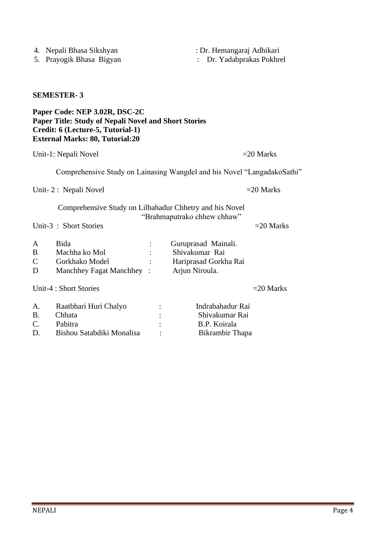|                             | Unit-1: Nepali Novel                                                             |                                                                                  | $=20$ Marks |
|-----------------------------|----------------------------------------------------------------------------------|----------------------------------------------------------------------------------|-------------|
|                             | Comprehensive Study on Lainasing Wangdel and his Novel "LangadakoSathi           |                                                                                  |             |
|                             | Unit-2: Nepali Novel                                                             |                                                                                  | $=20$ Marks |
|                             | Comprehensive Study on Lilbahadur Chhetry and his Novel<br>Unit-3: Short Stories | "Brahmaputrako chhew chhaw"                                                      | $=20$ Marks |
| A<br>B<br>$\mathsf{C}$<br>D | Bida<br>Machha ko Mol<br>Gorkhako Model<br>Manchhey Fagat Manchhey :             | Guruprasad Mainali.<br>Shivakumar Rai<br>Hariprasad Gorkha Rai<br>Arjun Niroula. |             |
|                             | Unit-4 : Short Stories                                                           |                                                                                  | $=20$ Marks |
| A.<br><b>B.</b><br>C.<br>D. | Raatbhari Huri Chalyo<br>Chhata<br>Pabitra<br>Bishou Satabdiki Monalisa          | Indrabahadur Rai<br>Shivakumar Rai<br>B.P. Koirala<br>Bikrambir Thapa            |             |

#### **SEMESTER- 3**

#### **Paper Code: NEP 3.02R, DSC-2C Paper Title: Study of Nepali Novel and Short Stories Credit: 6 (Lecture-5, Tutorial-1) External Marks: 80, Tutorial:20**

| А<br>B<br>D | Bida<br>Machha ko Mol<br>Gorkhako Model<br>Manchhey Fagat Manchhey: | Guruprasad Mainali.<br>Shivakumar Rai<br>Hariprasad Gorkha Rai<br>Arjun Niroula. |
|-------------|---------------------------------------------------------------------|----------------------------------------------------------------------------------|
|             |                                                                     |                                                                                  |

4. Nepali Bhasa Sikshyan : Dr. Hemangaraj Adhikari<br>5. Prayogik Bhasa Bigyan : Dr. Yadabprakas Pokhro : Dr. Yadabprakas Pokhrel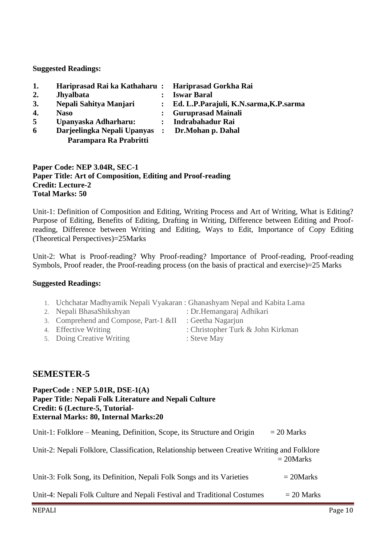**Suggested Readings:**

|                             |                  | <b>Iswar Baral</b>                                 |
|-----------------------------|------------------|----------------------------------------------------|
| Nepali Sahitya Manjari      |                  | Ed. L.P.Parajuli, K.N.sarma, K.P.sarma             |
| <b>Naso</b>                 |                  | <b>Guruprasad Mainali</b>                          |
| Upanyaska Adharharu:        |                  | Indrabahadur Rai                                   |
| Darjeelingka Nepali Upanyas |                  | Dr.Mohan p. Dahal                                  |
| Parampara Ra Prabritti      |                  |                                                    |
|                             | <b>Jhyalbata</b> | Hariprasad Rai ka Kathaharu: Hariprasad Gorkha Rai |

#### **Paper Code: NEP 3.04R, SEC-1 Paper Title: Art of Composition, Editing and Proof-reading Credit: Lecture-2 Total Marks: 50**

Unit-1: Definition of Composition and Editing, Writing Process and Art of Writing, What is Editing? Purpose of Editing, Benefits of Editing, Drafting in Writing, Difference between Editing and Proofreading, Difference between Writing and Editing, Ways to Edit, Importance of Copy Editing (Theoretical Perspectives)=25Marks

Unit-2: What is Proof-reading? Why Proof-reading? Importance of Proof-reading, Proof-reading Symbols, Proof reader, the Proof-reading process (on the basis of practical and exercise)=25 Marks

#### **Suggested Readings:**

- 1. Uchchatar Madhyamik Nepali Vyakaran : Ghanashyam Nepal and Kabita Lama
- 2. Nepali BhasaShikshyan : Dr.Hemangaraj Adhikari
- 3. Comprehend and Compose, Part-1 &II : Geetha Nagarjun
- 4. Effective Writing : Christopher Turk & John Kirkman
- 5. Doing Creative Writing : Steve May
- -

## **SEMESTER-5**

#### **PaperCode : NEP 5.01R, DSE-1(A) Paper Title: Nepali Folk Literature and Nepali Culture Credit: 6 (Lecture-5, Tutorial-External Marks: 80, Internal Marks:20**

| Unit-1: Folklore – Meaning, Definition, Scope, its Structure and Origin                     | $= 20$ Marks |
|---------------------------------------------------------------------------------------------|--------------|
| Unit-2: Nepali Folklore, Classification, Relationship between Creative Writing and Folklore | $= 20$ Marks |
| Unit-3: Folk Song, its Definition, Nepali Folk Songs and its Varieties                      | $= 20$ Marks |
| Unit-4: Nepali Folk Culture and Nepali Festival and Traditional Costumes                    | $= 20$ Marks |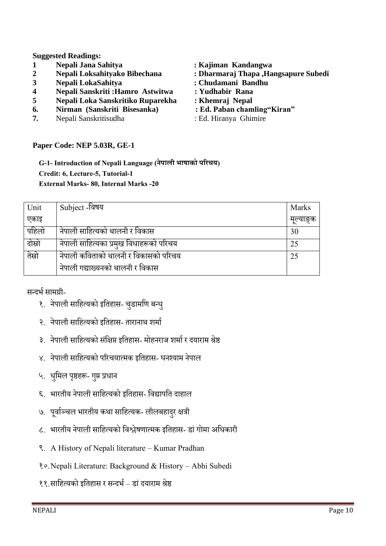#### **Suggested Readings:**

- **1 Nepali Jana Sahitya : Kajiman Kandangwa**
- 
- 
- **4 Nepali Sanskriti :Hamro Astwitwa : Yudhabir Rana**
- 
- **6. Nirman (Sanskriti Bisesanka)**
- **7.** Nepali Sanskritisudha : Ed. Hiranya Ghimire
- **2 Nepali Loksahityako Bibechana : Dharmaraj Thapa ,Hangsapure Subedi 3 Nepali LokaSahitya : Chudamani Bandhu 5 Nepali Loka Sanskritiko Ruparekha : Khemraj Nepal**
	-

#### **Paper Code: NEP 5.03R, GE-1**

**G-1- Introduction of Nepali Language (नेपाली भाषाको परिचय) Credit: 6, Lecture-5, Tutorial-1 External Marks- 80, Internal Marks -20**

| Unit   | Subject -विषय                           | <b>Marks</b> |
|--------|-----------------------------------------|--------------|
| एकाइ   |                                         | मल्याङक      |
| पहिलो  | नेपाली साहित्यको थालनी र विकास          | 30           |
| दोस्रो | नेपाली साहित्यका प्रमुख विधाहरूको परिचय | 25           |
| तेस्रो | नेपाली कविताको थालनी र विकासको परिचय    | 25           |
|        | नेपाली गद्याख्यनको थालनी र विकास        |              |

सन्दर्भ सामग्री-

- १. नेपाली साहित्यको इतिहास- चुडामणि बन्धु
- २. नेपाली साहित्यको इतिहास- तारानाथ शर्मा
- ३. नेपाली साहित्यको संक्षिप्त इतिहास- मोहनराज शर्मा र दयाराम श्रेष्ठ
- ४. नेपाली साहित्यको परिचयात्मक इतिहास- घनश्याम नेपाल
- ५. धुमिल पृष्ठहरू- गुप्त प्रधान
- ६. भारतीय नेपाली साहित्यको इतिहास- विद्यापति दाहाल
- ७. पूर्वाञ्चल भारतीय कथा साहित्यक- लीलबहादुर क्षत्री
- ८. भारतीय नेपाली साहित्यको विश्लेषणात्मक इतिहास- डां गोमा अधिकारी
- ९. A History of Nepali literature Kumar Pradhan
- १०.Nepali Literature: Background & History Abhi Subedi
- ११.सावित्यको इवतिास र सन्दर्भ डांदयाराम श्रेष्ठ